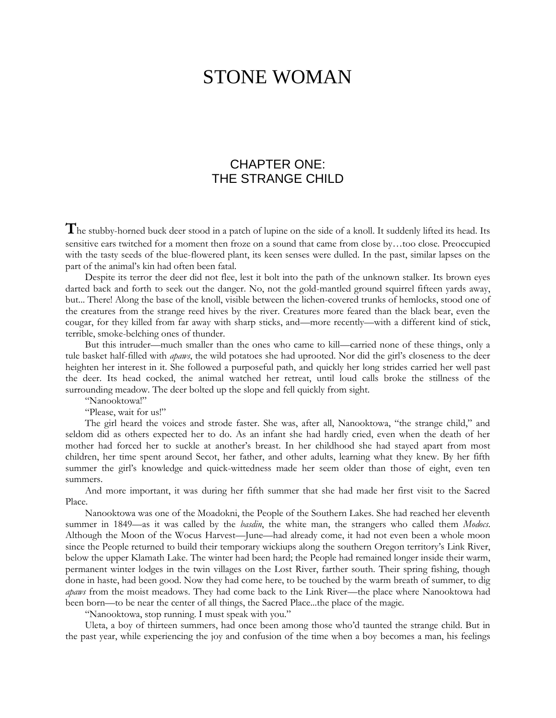# STONE WOMAN

# CHAPTER ONE: THE STRANGE CHILD

**T**he stubby-horned buck deer stood in a patch of lupine on the side of a knoll. It suddenly lifted its head. Its sensitive ears twitched for a moment then froze on a sound that came from close by…too close. Preoccupied with the tasty seeds of the blue-flowered plant, its keen senses were dulled. In the past, similar lapses on the part of the animal's kin had often been fatal.

Despite its terror the deer did not flee, lest it bolt into the path of the unknown stalker. Its brown eyes darted back and forth to seek out the danger. No, not the gold-mantled ground squirrel fifteen yards away, but... There! Along the base of the knoll, visible between the lichen-covered trunks of hemlocks, stood one of the creatures from the strange reed hives by the river. Creatures more feared than the black bear, even the cougar, for they killed from far away with sharp sticks, and—more recently—with a different kind of stick, terrible, smoke-belching ones of thunder.

But this intruder—much smaller than the ones who came to kill—carried none of these things, only a tule basket half-filled with *apaws*, the wild potatoes she had uprooted. Nor did the girl's closeness to the deer heighten her interest in it. She followed a purposeful path, and quickly her long strides carried her well past the deer. Its head cocked, the animal watched her retreat, until loud calls broke the stillness of the surrounding meadow. The deer bolted up the slope and fell quickly from sight.

"Nanooktowa!"

"Please, wait for us!"

The girl heard the voices and strode faster. She was, after all, Nanooktowa, "the strange child," and seldom did as others expected her to do. As an infant she had hardly cried, even when the death of her mother had forced her to suckle at another's breast. In her childhood she had stayed apart from most children, her time spent around Secot, her father, and other adults, learning what they knew. By her fifth summer the girl's knowledge and quick-wittedness made her seem older than those of eight, even ten summers.

And more important, it was during her fifth summer that she had made her first visit to the Sacred Place.

Nanooktowa was one of the Moadokni, the People of the Southern Lakes. She had reached her eleventh summer in 1849—as it was called by the *basdin*, the white man, the strangers who called them *Modocs*. Although the Moon of the Wocus Harvest—June—had already come, it had not even been a whole moon since the People returned to build their temporary wickiups along the southern Oregon territory's Link River, below the upper Klamath Lake. The winter had been hard; the People had remained longer inside their warm, permanent winter lodges in the twin villages on the Lost River, farther south. Their spring fishing, though done in haste, had been good. Now they had come here, to be touched by the warm breath of summer, to dig *apaws* from the moist meadows. They had come back to the Link River—the place where Nanooktowa had been born—to be near the center of all things, the Sacred Place...the place of the magic.

"Nanooktowa, stop running. I must speak with you."

Uleta, a boy of thirteen summers, had once been among those who'd taunted the strange child. But in the past year, while experiencing the joy and confusion of the time when a boy becomes a man, his feelings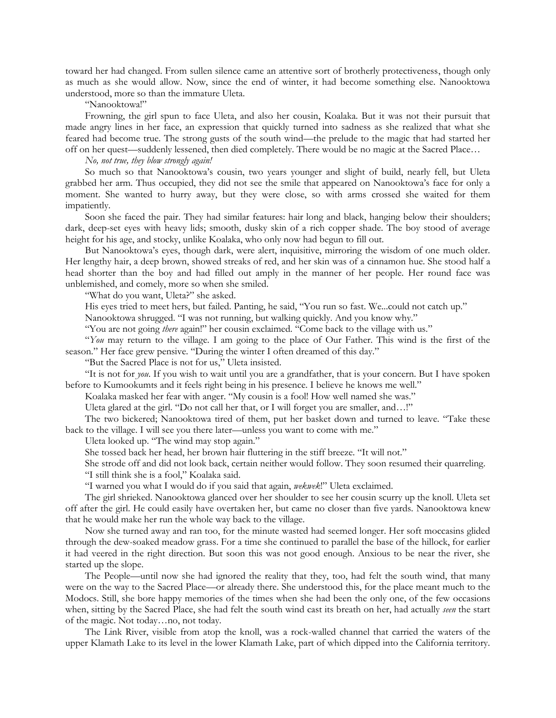toward her had changed. From sullen silence came an attentive sort of brotherly protectiveness, though only as much as she would allow. Now, since the end of winter, it had become something else. Nanooktowa understood, more so than the immature Uleta.

"Nanooktowa!"

Frowning, the girl spun to face Uleta, and also her cousin, Koalaka. But it was not their pursuit that made angry lines in her face, an expression that quickly turned into sadness as she realized that what she feared had become true. The strong gusts of the south wind—the prelude to the magic that had started her off on her quest—suddenly lessened, then died completely. There would be no magic at the Sacred Place…

# *No, not true, they blow strongly again!*

So much so that Nanooktowa's cousin, two years younger and slight of build, nearly fell, but Uleta grabbed her arm. Thus occupied, they did not see the smile that appeared on Nanooktowa's face for only a moment. She wanted to hurry away, but they were close, so with arms crossed she waited for them impatiently.

Soon she faced the pair. They had similar features: hair long and black, hanging below their shoulders; dark, deep-set eyes with heavy lids; smooth, dusky skin of a rich copper shade. The boy stood of average height for his age, and stocky, unlike Koalaka, who only now had begun to fill out.

But Nanooktowa's eyes, though dark, were alert, inquisitive, mirroring the wisdom of one much older. Her lengthy hair, a deep brown, showed streaks of red, and her skin was of a cinnamon hue. She stood half a head shorter than the boy and had filled out amply in the manner of her people. Her round face was unblemished, and comely, more so when she smiled.

"What do you want, Uleta?" she asked.

His eyes tried to meet hers, but failed. Panting, he said, "You run so fast. We...could not catch up."

Nanooktowa shrugged. "I was not running, but walking quickly. And you know why."

"You are not going *there* again!" her cousin exclaimed. "Come back to the village with us."

"*You* may return to the village. I am going to the place of Our Father. This wind is the first of the season." Her face grew pensive. "During the winter I often dreamed of this day."

"But the Sacred Place is not for us," Uleta insisted.

"It is not for *you*. If you wish to wait until you are a grandfather, that is your concern. But I have spoken before to Kumookumts and it feels right being in his presence. I believe he knows me well."

Koalaka masked her fear with anger. "My cousin is a fool! How well named she was."

Uleta glared at the girl. "Do not call her that, or I will forget you are smaller, and…!"

The two bickered; Nanooktowa tired of them, put her basket down and turned to leave. "Take these back to the village. I will see you there later—unless you want to come with me."

Uleta looked up. "The wind may stop again."

She tossed back her head, her brown hair fluttering in the stiff breeze. "It will not."

She strode off and did not look back, certain neither would follow. They soon resumed their quarreling. "I still think she is a fool," Koalaka said.

"I warned you what I would do if you said that again, *wekwek*!" Uleta exclaimed.

The girl shrieked. Nanooktowa glanced over her shoulder to see her cousin scurry up the knoll. Uleta set off after the girl. He could easily have overtaken her, but came no closer than five yards. Nanooktowa knew that he would make her run the whole way back to the village.

Now she turned away and ran too, for the minute wasted had seemed longer. Her soft moccasins glided through the dew-soaked meadow grass. For a time she continued to parallel the base of the hillock, for earlier it had veered in the right direction. But soon this was not good enough. Anxious to be near the river, she started up the slope.

The People—until now she had ignored the reality that they, too, had felt the south wind, that many were on the way to the Sacred Place—or already there. She understood this, for the place meant much to the Modocs. Still, she bore happy memories of the times when she had been the only one, of the few occasions when, sitting by the Sacred Place, she had felt the south wind cast its breath on her, had actually *seen* the start of the magic. Not today…no, not today.

The Link River, visible from atop the knoll, was a rock-walled channel that carried the waters of the upper Klamath Lake to its level in the lower Klamath Lake, part of which dipped into the California territory.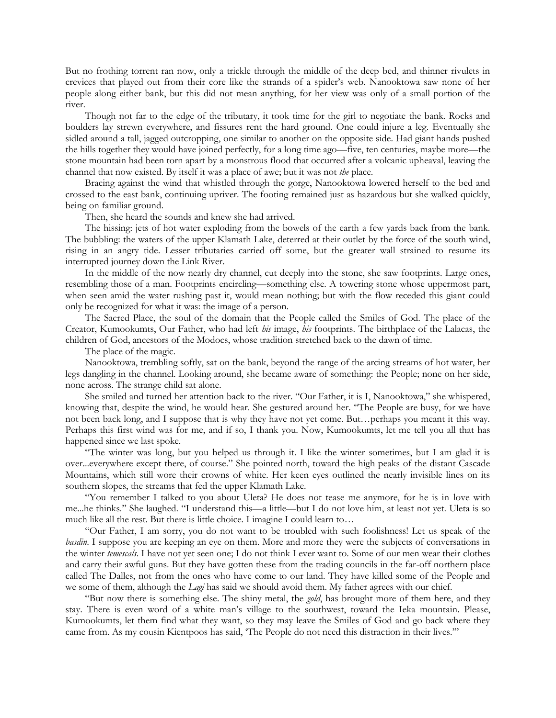But no frothing torrent ran now, only a trickle through the middle of the deep bed, and thinner rivulets in crevices that played out from their core like the strands of a spider's web. Nanooktowa saw none of her people along either bank, but this did not mean anything, for her view was only of a small portion of the river.

Though not far to the edge of the tributary, it took time for the girl to negotiate the bank. Rocks and boulders lay strewn everywhere, and fissures rent the hard ground. One could injure a leg. Eventually she sidled around a tall, jagged outcropping, one similar to another on the opposite side. Had giant hands pushed the hills together they would have joined perfectly, for a long time ago—five, ten centuries, maybe more—the stone mountain had been torn apart by a monstrous flood that occurred after a volcanic upheaval, leaving the channel that now existed. By itself it was a place of awe; but it was not *the* place.

Bracing against the wind that whistled through the gorge, Nanooktowa lowered herself to the bed and crossed to the east bank, continuing upriver. The footing remained just as hazardous but she walked quickly, being on familiar ground.

Then, she heard the sounds and knew she had arrived.

The hissing: jets of hot water exploding from the bowels of the earth a few yards back from the bank. The bubbling: the waters of the upper Klamath Lake, deterred at their outlet by the force of the south wind, rising in an angry tide. Lesser tributaries carried off some, but the greater wall strained to resume its interrupted journey down the Link River.

In the middle of the now nearly dry channel, cut deeply into the stone, she saw footprints. Large ones, resembling those of a man. Footprints encircling—something else. A towering stone whose uppermost part, when seen amid the water rushing past it, would mean nothing; but with the flow receded this giant could only be recognized for what it was: the image of a person.

The Sacred Place, the soul of the domain that the People called the Smiles of God. The place of the Creator, Kumookumts, Our Father, who had left *his* image, *his* footprints. The birthplace of the Lalacas, the children of God, ancestors of the Modocs, whose tradition stretched back to the dawn of time.

The place of the magic.

Nanooktowa, trembling softly, sat on the bank, beyond the range of the arcing streams of hot water, her legs dangling in the channel. Looking around, she became aware of something: the People; none on her side, none across. The strange child sat alone.

She smiled and turned her attention back to the river. "Our Father, it is I, Nanooktowa," she whispered, knowing that, despite the wind, he would hear. She gestured around her. "The People are busy, for we have not been back long, and I suppose that is why they have not yet come. But…perhaps you meant it this way. Perhaps this first wind was for me, and if so, I thank you. Now, Kumookumts, let me tell you all that has happened since we last spoke.

"The winter was long, but you helped us through it. I like the winter sometimes, but I am glad it is over...everywhere except there, of course." She pointed north, toward the high peaks of the distant Cascade Mountains, which still wore their crowns of white. Her keen eyes outlined the nearly invisible lines on its southern slopes, the streams that fed the upper Klamath Lake.

"You remember I talked to you about Uleta? He does not tease me anymore, for he is in love with me...he thinks." She laughed. "I understand this—a little—but I do not love him, at least not yet. Uleta is so much like all the rest. But there is little choice. I imagine I could learn to…

"Our Father, I am sorry, you do not want to be troubled with such foolishness! Let us speak of the *basdin*. I suppose you are keeping an eye on them. More and more they were the subjects of conversations in the winter *temescals*. I have not yet seen one; I do not think I ever want to. Some of our men wear their clothes and carry their awful guns. But they have gotten these from the trading councils in the far-off northern place called The Dalles, not from the ones who have come to our land. They have killed some of the People and we some of them, although the *Lagi* has said we should avoid them. My father agrees with our chief.

"But now there is something else. The shiny metal, the *gold*, has brought more of them here, and they stay. There is even word of a white man's village to the southwest, toward the Ieka mountain. Please, Kumookumts, let them find what they want, so they may leave the Smiles of God and go back where they came from. As my cousin Kientpoos has said, 'The People do not need this distraction in their lives.'"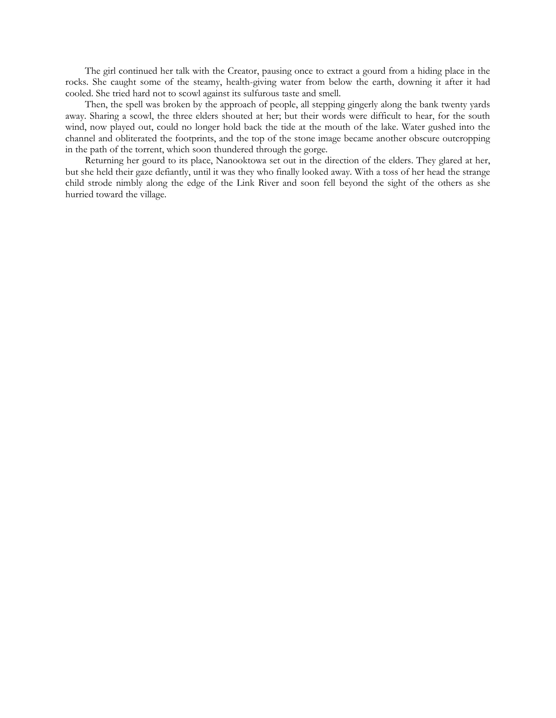The girl continued her talk with the Creator, pausing once to extract a gourd from a hiding place in the rocks. She caught some of the steamy, health-giving water from below the earth, downing it after it had cooled. She tried hard not to scowl against its sulfurous taste and smell.

Then, the spell was broken by the approach of people, all stepping gingerly along the bank twenty yards away. Sharing a scowl, the three elders shouted at her; but their words were difficult to hear, for the south wind, now played out, could no longer hold back the tide at the mouth of the lake. Water gushed into the channel and obliterated the footprints, and the top of the stone image became another obscure outcropping in the path of the torrent, which soon thundered through the gorge.

Returning her gourd to its place, Nanooktowa set out in the direction of the elders. They glared at her, but she held their gaze defiantly, until it was they who finally looked away. With a toss of her head the strange child strode nimbly along the edge of the Link River and soon fell beyond the sight of the others as she hurried toward the village.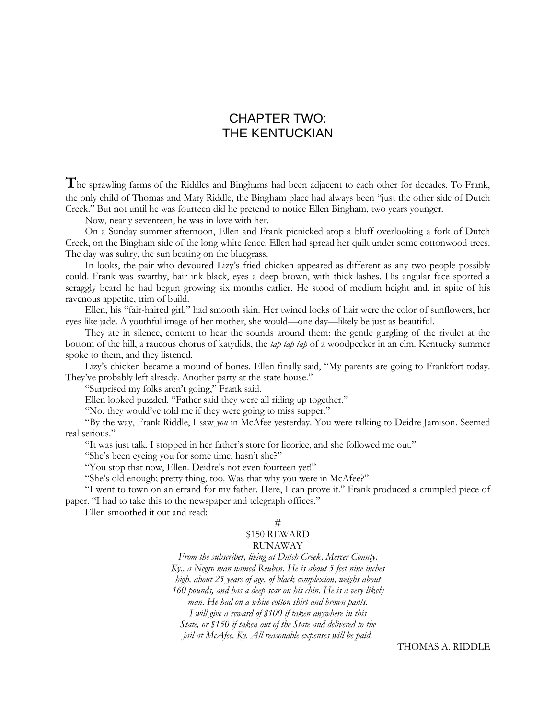# CHAPTER TWO: THE KENTUCKIAN

**T**he sprawling farms of the Riddles and Binghams had been adjacent to each other for decades. To Frank, the only child of Thomas and Mary Riddle, the Bingham place had always been "just the other side of Dutch Creek." But not until he was fourteen did he pretend to notice Ellen Bingham, two years younger.

Now, nearly seventeen, he was in love with her.

On a Sunday summer afternoon, Ellen and Frank picnicked atop a bluff overlooking a fork of Dutch Creek, on the Bingham side of the long white fence. Ellen had spread her quilt under some cottonwood trees. The day was sultry, the sun beating on the bluegrass.

In looks, the pair who devoured Lizy's fried chicken appeared as different as any two people possibly could. Frank was swarthy, hair ink black, eyes a deep brown, with thick lashes. His angular face sported a scraggly beard he had begun growing six months earlier. He stood of medium height and, in spite of his ravenous appetite, trim of build.

Ellen, his "fair-haired girl," had smooth skin. Her twined locks of hair were the color of sunflowers, her eyes like jade. A youthful image of her mother, she would—one day—likely be just as beautiful.

They ate in silence, content to hear the sounds around them: the gentle gurgling of the rivulet at the bottom of the hill, a raucous chorus of katydids, the *tap tap tap* of a woodpecker in an elm. Kentucky summer spoke to them, and they listened.

Lizy's chicken became a mound of bones. Ellen finally said, "My parents are going to Frankfort today. They've probably left already. Another party at the state house."

"Surprised my folks aren't going," Frank said.

Ellen looked puzzled. "Father said they were all riding up together."

"No, they would've told me if they were going to miss supper."

"By the way, Frank Riddle, I saw *you* in McAfee yesterday. You were talking to Deidre Jamison. Seemed real serious."

"It was just talk. I stopped in her father's store for licorice, and she followed me out."

"She's been eyeing you for some time, hasn't she?"

"You stop that now, Ellen. Deidre's not even fourteen yet!"

"She's old enough; pretty thing, too. Was that why you were in McAfee?"

"I went to town on an errand for my father. Here, I can prove it." Frank produced a crumpled piece of paper. "I had to take this to the newspaper and telegraph offices."

Ellen smoothed it out and read:

#### #

# \$150 REWARD

### RUNAWAY

*From the subscriber, living at Dutch Creek, Mercer County, Ky., a Negro man named Reuben. He is about 5 feet nine inches high, about 25 years of age, of black complexion, weighs about 160 pounds, and has a deep scar on his chin. He is a very likely man. He had on a white cotton shirt and brown pants. I will give a reward of \$100 if taken anywhere in this State, or \$150 if taken out of the State and delivered to the jail at McAfee, Ky. All reasonable expenses will be paid.*

THOMAS A. RIDDLE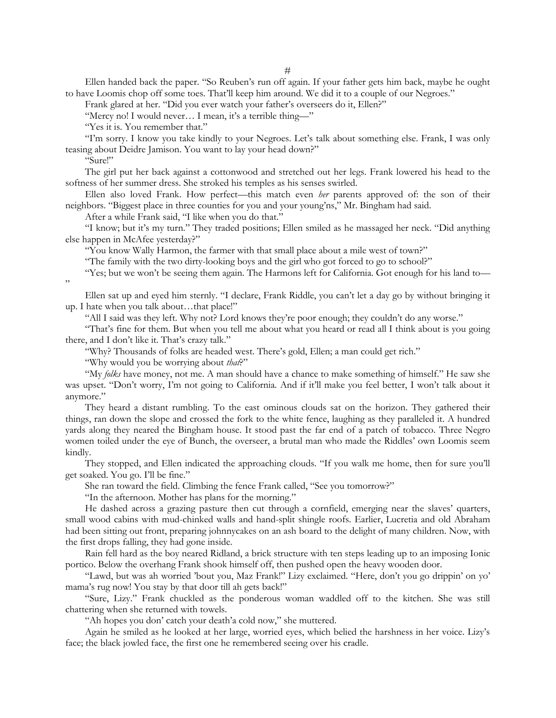Ellen handed back the paper. "So Reuben's run off again. If your father gets him back, maybe he ought to have Loomis chop off some toes. That'll keep him around. We did it to a couple of our Negroes."

Frank glared at her. "Did you ever watch your father's overseers do it, Ellen?"

"Mercy no! I would never… I mean, it's a terrible thing—"

"Yes it is. You remember that."

"I'm sorry. I know you take kindly to your Negroes. Let's talk about something else. Frank, I was only teasing about Deidre Jamison. You want to lay your head down?"

"Sure!"

The girl put her back against a cottonwood and stretched out her legs. Frank lowered his head to the softness of her summer dress. She stroked his temples as his senses swirled.

Ellen also loved Frank. How perfect—this match even *her* parents approved of: the son of their neighbors. "Biggest place in three counties for you and your young'ns," Mr. Bingham had said.

After a while Frank said, "I like when you do that."

"I know; but it's my turn." They traded positions; Ellen smiled as he massaged her neck. "Did anything else happen in McAfee yesterday?"

"You know Wally Harmon, the farmer with that small place about a mile west of town?"

"The family with the two dirty-looking boys and the girl who got forced to go to school?"

"Yes; but we won't be seeing them again. The Harmons left for California. Got enough for his land to— "

Ellen sat up and eyed him sternly. "I declare, Frank Riddle, you can't let a day go by without bringing it up. I hate when you talk about…that place!"

"All I said was they left. Why not? Lord knows they're poor enough; they couldn't do any worse."

"That's fine for them. But when you tell me about what you heard or read all I think about is you going there, and I don't like it. That's crazy talk."

"Why? Thousands of folks are headed west. There's gold, Ellen; a man could get rich."

"Why would you be worrying about *that*?"

"My *folks* have money, not me. A man should have a chance to make something of himself." He saw she was upset. "Don't worry, I'm not going to California. And if it'll make you feel better, I won't talk about it anymore."

They heard a distant rumbling. To the east ominous clouds sat on the horizon. They gathered their things, ran down the slope and crossed the fork to the white fence, laughing as they paralleled it. A hundred yards along they neared the Bingham house. It stood past the far end of a patch of tobacco. Three Negro women toiled under the eye of Bunch, the overseer, a brutal man who made the Riddles' own Loomis seem kindly.

They stopped, and Ellen indicated the approaching clouds. "If you walk me home, then for sure you'll get soaked. You go. I'll be fine."

She ran toward the field. Climbing the fence Frank called, "See you tomorrow?"

"In the afternoon. Mother has plans for the morning."

He dashed across a grazing pasture then cut through a cornfield, emerging near the slaves' quarters, small wood cabins with mud-chinked walls and hand-split shingle roofs. Earlier, Lucretia and old Abraham had been sitting out front, preparing johnnycakes on an ash board to the delight of many children. Now, with the first drops falling, they had gone inside.

Rain fell hard as the boy neared Ridland, a brick structure with ten steps leading up to an imposing Ionic portico. Below the overhang Frank shook himself off, then pushed open the heavy wooden door.

"Lawd, but was ah worried 'bout you, Maz Frank!" Lizy exclaimed. "Here, don't you go drippin' on yo' mama's rug now! You stay by that door till ah gets back!"

"Sure, Lizy." Frank chuckled as the ponderous woman waddled off to the kitchen. She was still chattering when she returned with towels.

"Ah hopes you don' catch your death'a cold now," she muttered.

Again he smiled as he looked at her large, worried eyes, which belied the harshness in her voice. Lizy's face; the black jowled face, the first one he remembered seeing over his cradle.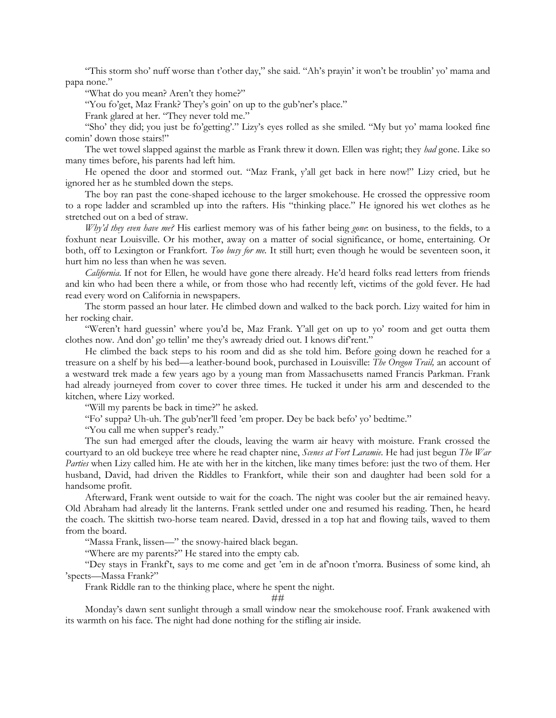"This storm sho' nuff worse than t'other day," she said. "Ah's prayin' it won't be troublin' yo' mama and papa none."

"What do you mean? Aren't they home?"

"You fo'get, Maz Frank? They's goin' on up to the gub'ner's place."

Frank glared at her. "They never told me."

"Sho' they did; you just be fo'getting'." Lizy's eyes rolled as she smiled. "My but yo' mama looked fine comin' down those stairs!"

The wet towel slapped against the marble as Frank threw it down. Ellen was right; they *had* gone. Like so many times before, his parents had left him.

He opened the door and stormed out. "Maz Frank, y'all get back in here now!" Lizy cried, but he ignored her as he stumbled down the steps.

The boy ran past the cone-shaped icehouse to the larger smokehouse. He crossed the oppressive room to a rope ladder and scrambled up into the rafters. His "thinking place." He ignored his wet clothes as he stretched out on a bed of straw.

*Why'd they even have me?* His earliest memory was of his father being *gone*: on business, to the fields, to a foxhunt near Louisville. Or his mother, away on a matter of social significance, or home, entertaining. Or both, off to Lexington or Frankfort. *Too busy for me.* It still hurt; even though he would be seventeen soon, it hurt him no less than when he was seven.

*California*. If not for Ellen, he would have gone there already. He'd heard folks read letters from friends and kin who had been there a while, or from those who had recently left, victims of the gold fever. He had read every word on California in newspapers.

The storm passed an hour later. He climbed down and walked to the back porch. Lizy waited for him in her rocking chair.

"Weren't hard guessin' where you'd be, Maz Frank. Y'all get on up to yo' room and get outta them clothes now. And don' go tellin' me they's awready dried out. I knows dif'rent."

He climbed the back steps to his room and did as she told him. Before going down he reached for a treasure on a shelf by his bed—a leather-bound book, purchased in Louisville: *The Oregon Trail,* an account of a westward trek made a few years ago by a young man from Massachusetts named Francis Parkman. Frank had already journeyed from cover to cover three times. He tucked it under his arm and descended to the kitchen, where Lizy worked.

"Will my parents be back in time?" he asked.

"Fo' suppa? Uh-uh. The gub'ner'll feed 'em proper. Dey be back befo' yo' bedtime."

"You call me when supper's ready."

The sun had emerged after the clouds, leaving the warm air heavy with moisture. Frank crossed the courtyard to an old buckeye tree where he read chapter nine, *Scenes at Fort Laramie*. He had just begun *The War Parties* when Lizy called him. He ate with her in the kitchen, like many times before: just the two of them. Her husband, David, had driven the Riddles to Frankfort, while their son and daughter had been sold for a handsome profit.

Afterward, Frank went outside to wait for the coach. The night was cooler but the air remained heavy. Old Abraham had already lit the lanterns. Frank settled under one and resumed his reading. Then, he heard the coach. The skittish two-horse team neared. David, dressed in a top hat and flowing tails, waved to them from the board.

"Massa Frank, lissen—" the snowy-haired black began.

"Where are my parents?" He stared into the empty cab.

"Dey stays in Frankf't, says to me come and get 'em in de af'noon t'morra. Business of some kind, ah 'spects—Massa Frank?"

Frank Riddle ran to the thinking place, where he spent the night.

##

Monday's dawn sent sunlight through a small window near the smokehouse roof. Frank awakened with its warmth on his face. The night had done nothing for the stifling air inside.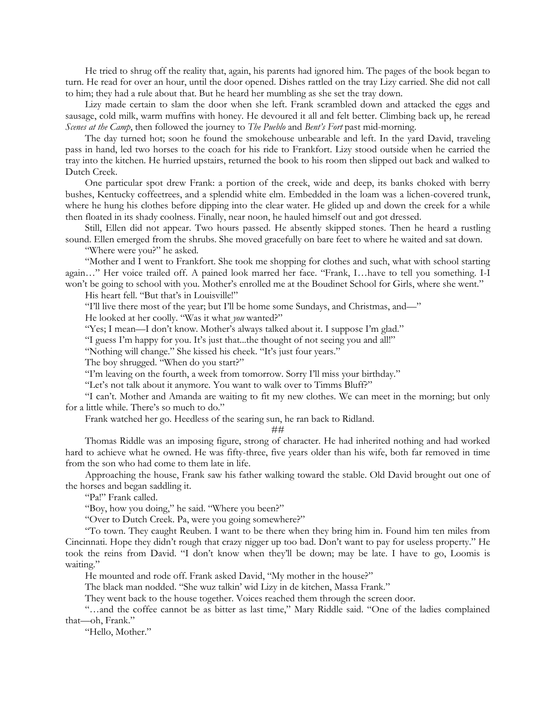He tried to shrug off the reality that, again, his parents had ignored him. The pages of the book began to turn. He read for over an hour, until the door opened. Dishes rattled on the tray Lizy carried. She did not call to him; they had a rule about that. But he heard her mumbling as she set the tray down.

Lizy made certain to slam the door when she left. Frank scrambled down and attacked the eggs and sausage, cold milk, warm muffins with honey. He devoured it all and felt better. Climbing back up, he reread *Scenes at the Camp*, then followed the journey to *The Pueblo* and *Bent's Fort* past mid-morning.

The day turned hot; soon he found the smokehouse unbearable and left. In the yard David, traveling pass in hand, led two horses to the coach for his ride to Frankfort. Lizy stood outside when he carried the tray into the kitchen. He hurried upstairs, returned the book to his room then slipped out back and walked to Dutch Creek.

One particular spot drew Frank: a portion of the creek, wide and deep, its banks choked with berry bushes, Kentucky coffeetrees, and a splendid white elm. Embedded in the loam was a lichen-covered trunk, where he hung his clothes before dipping into the clear water. He glided up and down the creek for a while then floated in its shady coolness. Finally, near noon, he hauled himself out and got dressed.

Still, Ellen did not appear. Two hours passed. He absently skipped stones. Then he heard a rustling sound. Ellen emerged from the shrubs. She moved gracefully on bare feet to where he waited and sat down.

"Where were you?" he asked.

"Mother and I went to Frankfort. She took me shopping for clothes and such, what with school starting again…" Her voice trailed off. A pained look marred her face. "Frank, I…have to tell you something. I-I won't be going to school with you. Mother's enrolled me at the Boudinet School for Girls, where she went."

His heart fell. "But that's in Louisville!"

"I'll live there most of the year; but I'll be home some Sundays, and Christmas, and—"

He looked at her coolly. "Was it what *you* wanted?"

"Yes; I mean—I don't know. Mother's always talked about it. I suppose I'm glad."

"I guess I'm happy for you. It's just that...the thought of not seeing you and all!"

"Nothing will change." She kissed his cheek. "It's just four years."

The boy shrugged. "When do you start?"

"I'm leaving on the fourth, a week from tomorrow. Sorry I'll miss your birthday."

"Let's not talk about it anymore. You want to walk over to Timms Bluff?"

"I can't. Mother and Amanda are waiting to fit my new clothes. We can meet in the morning; but only for a little while. There's so much to do."

Frank watched her go. Heedless of the searing sun, he ran back to Ridland.

##

Thomas Riddle was an imposing figure, strong of character. He had inherited nothing and had worked hard to achieve what he owned. He was fifty-three, five years older than his wife, both far removed in time from the son who had come to them late in life.

Approaching the house, Frank saw his father walking toward the stable. Old David brought out one of the horses and began saddling it.

"Pa!" Frank called.

"Boy, how you doing," he said. "Where you been?"

"Over to Dutch Creek. Pa, were you going somewhere?"

"To town. They caught Reuben. I want to be there when they bring him in. Found him ten miles from Cincinnati. Hope they didn't rough that crazy nigger up too bad. Don't want to pay for useless property." He took the reins from David. "I don't know when they'll be down; may be late. I have to go, Loomis is waiting."

He mounted and rode off. Frank asked David, "My mother in the house?"

The black man nodded. "She wuz talkin' wid Lizy in de kitchen, Massa Frank."

They went back to the house together. Voices reached them through the screen door.

"…and the coffee cannot be as bitter as last time," Mary Riddle said. "One of the ladies complained that—oh, Frank."

"Hello, Mother."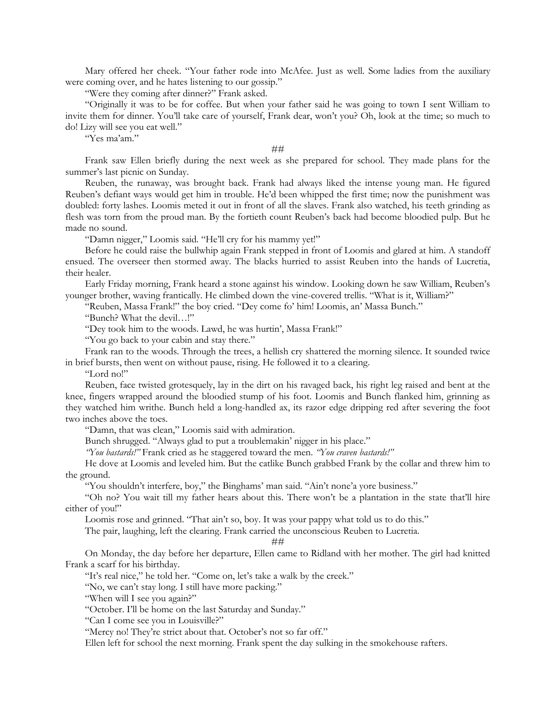Mary offered her cheek. "Your father rode into McAfee. Just as well. Some ladies from the auxiliary were coming over, and he hates listening to our gossip."

"Were they coming after dinner?" Frank asked.

"Originally it was to be for coffee. But when your father said he was going to town I sent William to invite them for dinner. You'll take care of yourself, Frank dear, won't you? Oh, look at the time; so much to do! Lizy will see you eat well."

"Yes ma'am."

### ##

Frank saw Ellen briefly during the next week as she prepared for school. They made plans for the summer's last picnic on Sunday.

Reuben, the runaway, was brought back. Frank had always liked the intense young man. He figured Reuben's defiant ways would get him in trouble. He'd been whipped the first time; now the punishment was doubled: forty lashes. Loomis meted it out in front of all the slaves. Frank also watched, his teeth grinding as flesh was torn from the proud man. By the fortieth count Reuben's back had become bloodied pulp. But he made no sound.

"Damn nigger," Loomis said. "He'll cry for his mammy yet!"

Before he could raise the bullwhip again Frank stepped in front of Loomis and glared at him. A standoff ensued. The overseer then stormed away. The blacks hurried to assist Reuben into the hands of Lucretia, their healer.

Early Friday morning, Frank heard a stone against his window. Looking down he saw William, Reuben's younger brother, waving frantically. He climbed down the vine-covered trellis. "What is it, William?"

"Reuben, Massa Frank!" the boy cried. "Dey come fo' him! Loomis, an' Massa Bunch."

"Bunch? What the devil…!"

"Dey took him to the woods. Lawd, he was hurtin', Massa Frank!"

"You go back to your cabin and stay there."

Frank ran to the woods. Through the trees, a hellish cry shattered the morning silence. It sounded twice in brief bursts, then went on without pause, rising. He followed it to a clearing.

"Lord no!"

Reuben, face twisted grotesquely, lay in the dirt on his ravaged back, his right leg raised and bent at the knee, fingers wrapped around the bloodied stump of his foot. Loomis and Bunch flanked him, grinning as they watched him writhe. Bunch held a long-handled ax, its razor edge dripping red after severing the foot two inches above the toes.

"Damn, that was clean," Loomis said with admiration.

Bunch shrugged. "Always glad to put a troublemakin' nigger in his place."

*"You bastards!"* Frank cried as he staggered toward the men. *"You craven bastards!"*

He dove at Loomis and leveled him. But the catlike Bunch grabbed Frank by the collar and threw him to the ground.

"You shouldn't interfere, boy," the Binghams' man said. "Ain't none'a yore business."

"Oh no? You wait till my father hears about this. There won't be a plantation in the state that'll hire either of you!"

Loomis rose and grinned. "That ain't so, boy. It was your pappy what told us to do this."

The pair, laughing, left the clearing. Frank carried the unconscious Reuben to Lucretia.

#### ##

On Monday, the day before her departure, Ellen came to Ridland with her mother. The girl had knitted Frank a scarf for his birthday.

"It's real nice," he told her. "Come on, let's take a walk by the creek."

"No, we can't stay long. I still have more packing."

"When will I see you again?"

"October. I'll be home on the last Saturday and Sunday."

"Can I come see you in Louisville?"

"Mercy no! They're strict about that. October's not so far off."

Ellen left for school the next morning. Frank spent the day sulking in the smokehouse rafters.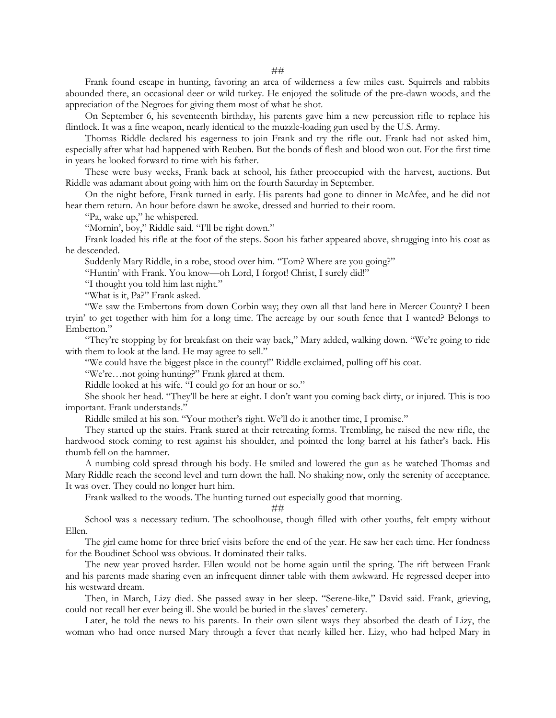Frank found escape in hunting, favoring an area of wilderness a few miles east. Squirrels and rabbits abounded there, an occasional deer or wild turkey. He enjoyed the solitude of the pre-dawn woods, and the appreciation of the Negroes for giving them most of what he shot.

On September 6, his seventeenth birthday, his parents gave him a new percussion rifle to replace his flintlock. It was a fine weapon, nearly identical to the muzzle-loading gun used by the U.S. Army.

Thomas Riddle declared his eagerness to join Frank and try the rifle out. Frank had not asked him, especially after what had happened with Reuben. But the bonds of flesh and blood won out. For the first time in years he looked forward to time with his father.

These were busy weeks, Frank back at school, his father preoccupied with the harvest, auctions. But Riddle was adamant about going with him on the fourth Saturday in September.

On the night before, Frank turned in early. His parents had gone to dinner in McAfee, and he did not hear them return. An hour before dawn he awoke, dressed and hurried to their room.

"Pa, wake up," he whispered.

"Mornin', boy," Riddle said. "I'll be right down."

Frank loaded his rifle at the foot of the steps. Soon his father appeared above, shrugging into his coat as he descended.

Suddenly Mary Riddle, in a robe, stood over him. "Tom? Where are you going?"

"Huntin' with Frank. You know—oh Lord, I forgot! Christ, I surely did!"

"I thought you told him last night."

"What is it, Pa?" Frank asked.

"We saw the Embertons from down Corbin way; they own all that land here in Mercer County? I been tryin' to get together with him for a long time. The acreage by our south fence that I wanted? Belongs to Emberton."

"They're stopping by for breakfast on their way back," Mary added, walking down. "We're going to ride with them to look at the land. He may agree to sell."

"We could have the biggest place in the county!" Riddle exclaimed, pulling off his coat.

"We're…not going hunting?" Frank glared at them.

Riddle looked at his wife. "I could go for an hour or so."

She shook her head. "They'll be here at eight. I don't want you coming back dirty, or injured. This is too important. Frank understands."

Riddle smiled at his son. "Your mother's right. We'll do it another time, I promise."

They started up the stairs. Frank stared at their retreating forms. Trembling, he raised the new rifle, the hardwood stock coming to rest against his shoulder, and pointed the long barrel at his father's back. His thumb fell on the hammer.

A numbing cold spread through his body. He smiled and lowered the gun as he watched Thomas and Mary Riddle reach the second level and turn down the hall. No shaking now, only the serenity of acceptance. It was over. They could no longer hurt him.

Frank walked to the woods. The hunting turned out especially good that morning.

##

School was a necessary tedium. The schoolhouse, though filled with other youths, felt empty without Ellen.

The girl came home for three brief visits before the end of the year. He saw her each time. Her fondness for the Boudinet School was obvious. It dominated their talks.

The new year proved harder. Ellen would not be home again until the spring. The rift between Frank and his parents made sharing even an infrequent dinner table with them awkward. He regressed deeper into his westward dream.

Then, in March, Lizy died. She passed away in her sleep. "Serene-like," David said. Frank, grieving, could not recall her ever being ill. She would be buried in the slaves' cemetery.

Later, he told the news to his parents. In their own silent ways they absorbed the death of Lizy, the woman who had once nursed Mary through a fever that nearly killed her. Lizy, who had helped Mary in